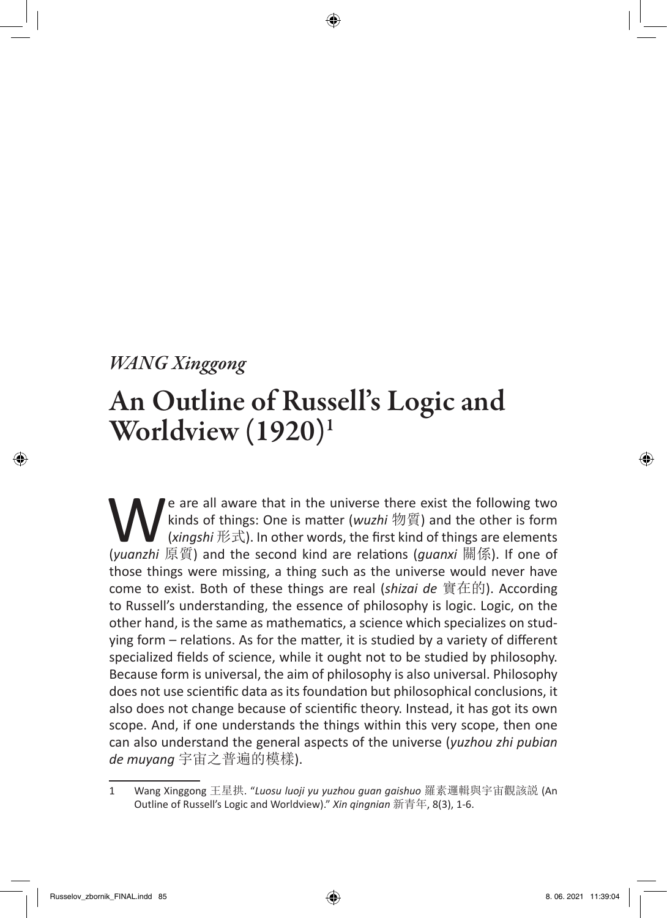## *WANG Xinggong*

## An Outline of Russell's Logic and Worldview (1920)1

We are all aware that in the universe there exist the following two<br>kinds of things: One is matter (*wuzhi* 物質) and the other is form<br>(*xingshi* 形式). In other words, the first kind of things are elements<br>(*yuanzhi* 原質) an kinds of things: One is matter (*wuzhi* 物質) and the other is form (*xingshi* 形式). In other words, the first kind of things are elements (*yuanzhi* 原質) and the second kind are relations (*guanxi* 關係). If one of those things were missing, a thing such as the universe would never have come to exist. Both of these things are real (*shizai de* 實在的). According to Russell's understanding, the essence of philosophy is logic. Logic, on the other hand, is the same as mathematics, a science which specializes on studying form – relations. As for the matter, it is studied by a variety of different specialized fields of science, while it ought not to be studied by philosophy. Because form is universal, the aim of philosophy is also universal. Philosophy does not use scientific data as its foundation but philosophical conclusions, it also does not change because of scientific theory. Instead, it has got its own scope. And, if one understands the things within this very scope, then one can also understand the general aspects of the universe (*yuzhou zhi pubian de muyang* 宇宙之普遍的模樣).

<sup>1</sup> Wang Xinggong 王星拱. "*Luosu luoji yu yuzhou guan gaishuo* 羅素邏輯與宇宙觀該説 (An Outline of Russell's Logic and Worldview)." *Xin qingnian* 新青年, 8(3), 1-6.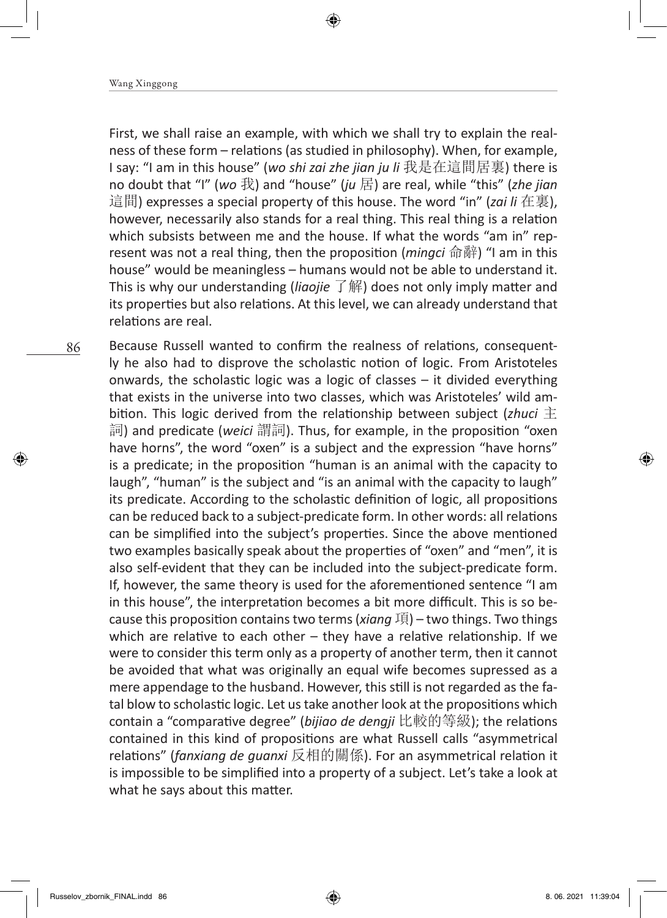First, we shall raise an example, with which we shall try to explain the realness of these form – relations (as studied in philosophy). When, for example, I say: "I am in this house" (*wo shi zai zhe jian ju li* 我是在這間居裏) there is no doubt that "I" (*wo* 我) and "house" (*ju* 居) are real, while "this" (*zhe jian*  這間) expresses a special property of this house. The word "in" (*zai li* 在裏), however, necessarily also stands for a real thing. This real thing is a relation which subsists between me and the house. If what the words "am in" represent was not a real thing, then the proposition (*mingci* 命辭) "I am in this house" would be meaningless – humans would not be able to understand it. This is why our understanding (*liaojie* 了解) does not only imply matter and its properties but also relations. At this level, we can already understand that relations are real.

Because Russell wanted to confirm the realness of relations, consequently he also had to disprove the scholastic notion of logic. From Aristoteles onwards, the scholastic logic was a logic of classes – it divided everything that exists in the universe into two classes, which was Aristoteles' wild ambition. This logic derived from the relationship between subject (*zhuci* 主 詞) and predicate (*weici* 謂詞). Thus, for example, in the proposition "oxen have horns", the word "oxen" is a subject and the expression "have horns" is a predicate; in the proposition "human is an animal with the capacity to laugh", "human" is the subject and "is an animal with the capacity to laugh" its predicate. According to the scholastic definition of logic, all propositions can be reduced back to a subject-predicate form. In other words: all relations can be simplified into the subject's properties. Since the above mentioned two examples basically speak about the properties of "oxen" and "men", it is also self-evident that they can be included into the subject-predicate form. If, however, the same theory is used for the aforementioned sentence "I am in this house", the interpretation becomes a bit more difficult. This is so because this proposition contains two terms (*xiang* 項) – two things. Two things which are relative to each other  $-$  they have a relative relationship. If we were to consider this term only as a property of another term, then it cannot be avoided that what was originally an equal wife becomes supressed as a mere appendage to the husband. However, this still is not regarded as the fatal blow to scholastic logic. Let us take another look at the propositions which contain a "comparative degree" (*bijiao de dengji* 比較的等級); the relations contained in this kind of propositions are what Russell calls "asymmetrical relations" (*fanxiang de guanxi* 反相的關係). For an asymmetrical relation it is impossible to be simplified into a property of a subject. Let's take a look at what he says about this matter.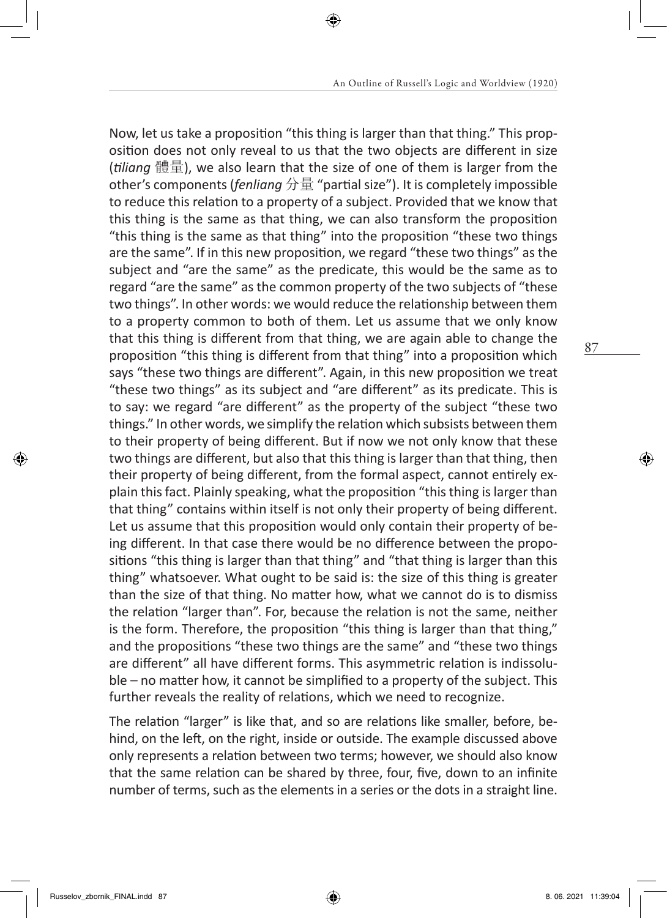Now, let us take a proposition "this thing is larger than that thing." This proposition does not only reveal to us that the two objects are different in size (*tiliang* 體量), we also learn that the size of one of them is larger from the other's components (*fenliang* 分量 "partial size"). It is completely impossible to reduce this relation to a property of a subject. Provided that we know that this thing is the same as that thing, we can also transform the proposition "this thing is the same as that thing" into the proposition "these two things are the same". If in this new proposition, we regard "these two things" as the subject and "are the same" as the predicate, this would be the same as to regard "are the same" as the common property of the two subjects of "these two things". In other words: we would reduce the relationship between them to a property common to both of them. Let us assume that we only know that this thing is different from that thing, we are again able to change the proposition "this thing is different from that thing" into a proposition which says "these two things are different". Again, in this new proposition we treat "these two things" as its subject and "are different" as its predicate. This is to say: we regard "are different" as the property of the subject "these two things." In other words, we simplify the relation which subsists between them to their property of being different. But if now we not only know that these two things are different, but also that this thing is larger than that thing, then their property of being different, from the formal aspect, cannot entirely explain this fact. Plainly speaking, what the proposition "this thing is larger than that thing" contains within itself is not only their property of being different. Let us assume that this proposition would only contain their property of being different. In that case there would be no difference between the propositions "this thing is larger than that thing" and "that thing is larger than this thing" whatsoever. What ought to be said is: the size of this thing is greater than the size of that thing. No matter how, what we cannot do is to dismiss the relation "larger than". For, because the relation is not the same, neither is the form. Therefore, the proposition "this thing is larger than that thing," and the propositions "these two things are the same" and "these two things are different" all have different forms. This asymmetric relation is indissoluble – no matter how, it cannot be simplified to a property of the subject. This further reveals the reality of relations, which we need to recognize.

The relation "larger" is like that, and so are relations like smaller, before, behind, on the left, on the right, inside or outside. The example discussed above only represents a relation between two terms; however, we should also know that the same relation can be shared by three, four, five, down to an infinite number of terms, such as the elements in a series or the dots in a straight line.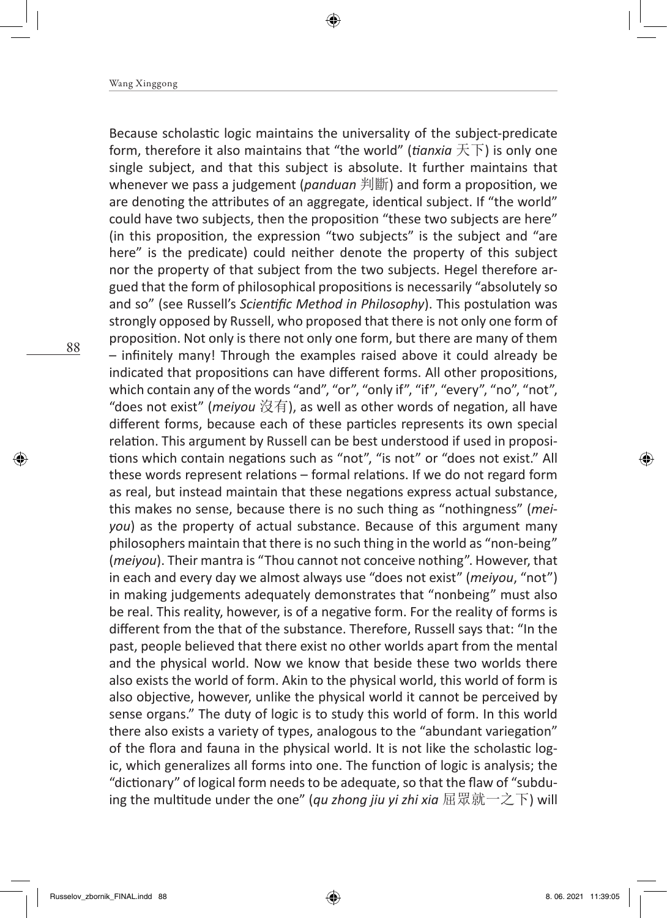Because scholastic logic maintains the universality of the subject-predicate form, therefore it also maintains that "the world" (*tianxia* 天下) is only one single subject, and that this subject is absolute. It further maintains that whenever we pass a judgement (*panduan* 判斷) and form a proposition, we are denoting the attributes of an aggregate, identical subject. If "the world" could have two subjects, then the proposition "these two subjects are here" (in this proposition, the expression "two subjects" is the subject and "are here" is the predicate) could neither denote the property of this subject nor the property of that subject from the two subjects. Hegel therefore argued that the form of philosophical propositions is necessarily "absolutely so and so" (see Russell's *Scientific Method in Philosophy*). This postulation was strongly opposed by Russell, who proposed that there is not only one form of proposition. Not only is there not only one form, but there are many of them – infinitely many! Through the examples raised above it could already be indicated that propositions can have different forms. All other propositions, which contain any of the words "and", "or", "only if", "if", "every", "no", "not", "does not exist" (*meiyou* 沒有), as well as other words of negation, all have different forms, because each of these particles represents its own special relation. This argument by Russell can be best understood if used in propositions which contain negations such as "not", "is not" or "does not exist." All these words represent relations – formal relations. If we do not regard form as real, but instead maintain that these negations express actual substance, this makes no sense, because there is no such thing as "nothingness" (*meiyou*) as the property of actual substance. Because of this argument many philosophers maintain that there is no such thing in the world as "non-being" (*meiyou*). Their mantra is "Thou cannot not conceive nothing". However, that in each and every day we almost always use "does not exist" (*meiyou*, "not") in making judgements adequately demonstrates that "nonbeing" must also be real. This reality, however, is of a negative form. For the reality of forms is different from the that of the substance. Therefore, Russell says that: "In the past, people believed that there exist no other worlds apart from the mental and the physical world. Now we know that beside these two worlds there also exists the world of form. Akin to the physical world, this world of form is also objective, however, unlike the physical world it cannot be perceived by sense organs." The duty of logic is to study this world of form. In this world there also exists a variety of types, analogous to the "abundant variegation" of the flora and fauna in the physical world. It is not like the scholastic logic, which generalizes all forms into one. The function of logic is analysis; the "dictionary" of logical form needs to be adequate, so that the flaw of "subduing the multitude under the one" (*qu zhong jiu yi zhi xia* 屈眾就一之下) will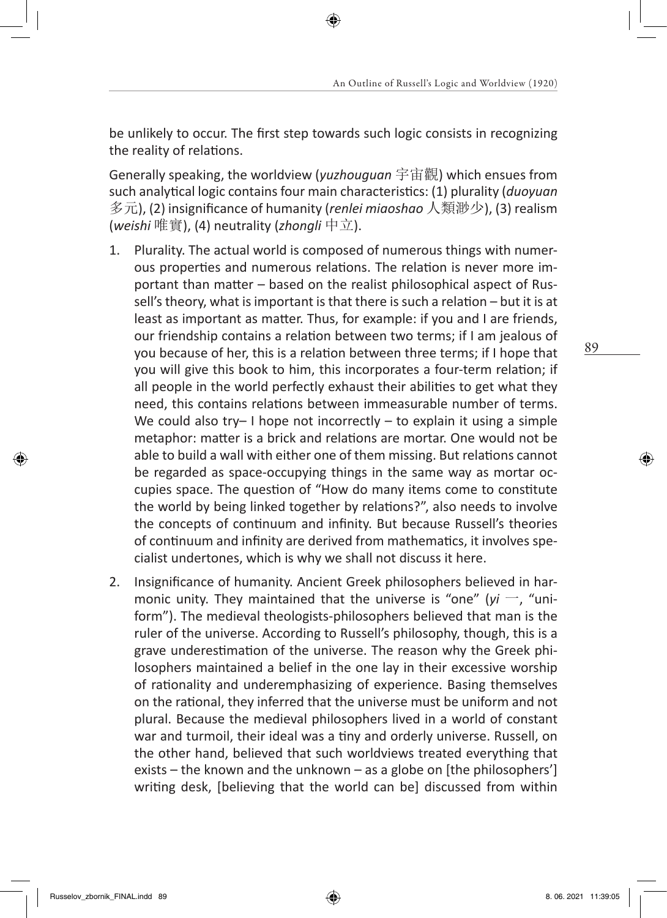be unlikely to occur. The first step towards such logic consists in recognizing the reality of relations.

Generally speaking, the worldview (*yuzhouguan* 宇宙觀) which ensues from such analytical logic contains four main characteristics: (1) plurality (*duoyuan*  多元), (2) insignificance of humanity (*renlei miaoshao* 人類渺少), (3) realism (*weishi* 唯實), (4) neutrality (*zhongli* 中立).

- 1. Plurality. The actual world is composed of numerous things with numerous properties and numerous relations. The relation is never more important than matter – based on the realist philosophical aspect of Russell's theory, what is important is that there is such a relation – but it is at least as important as matter. Thus, for example: if you and I are friends, our friendship contains a relation between two terms; if I am jealous of you because of her, this is a relation between three terms; if I hope that you will give this book to him, this incorporates a four-term relation; if all people in the world perfectly exhaust their abilities to get what they need, this contains relations between immeasurable number of terms. We could also try- I hope not incorrectly - to explain it using a simple metaphor: matter is a brick and relations are mortar. One would not be able to build a wall with either one of them missing. But relations cannot be regarded as space-occupying things in the same way as mortar occupies space. The question of "How do many items come to constitute the world by being linked together by relations?", also needs to involve the concepts of continuum and infinity. But because Russell's theories of continuum and infinity are derived from mathematics, it involves specialist undertones, which is why we shall not discuss it here.
- 2. Insignificance of humanity. Ancient Greek philosophers believed in harmonic unity. They maintained that the universe is "one" ( $yi -$ , "uniform"). The medieval theologists-philosophers believed that man is the ruler of the universe. According to Russell's philosophy, though, this is a grave underestimation of the universe. The reason why the Greek philosophers maintained a belief in the one lay in their excessive worship of rationality and underemphasizing of experience. Basing themselves on the rational, they inferred that the universe must be uniform and not plural. Because the medieval philosophers lived in a world of constant war and turmoil, their ideal was a tiny and orderly universe. Russell, on the other hand, believed that such worldviews treated everything that exists – the known and the unknown – as a globe on [the philosophers'] writing desk, [believing that the world can be] discussed from within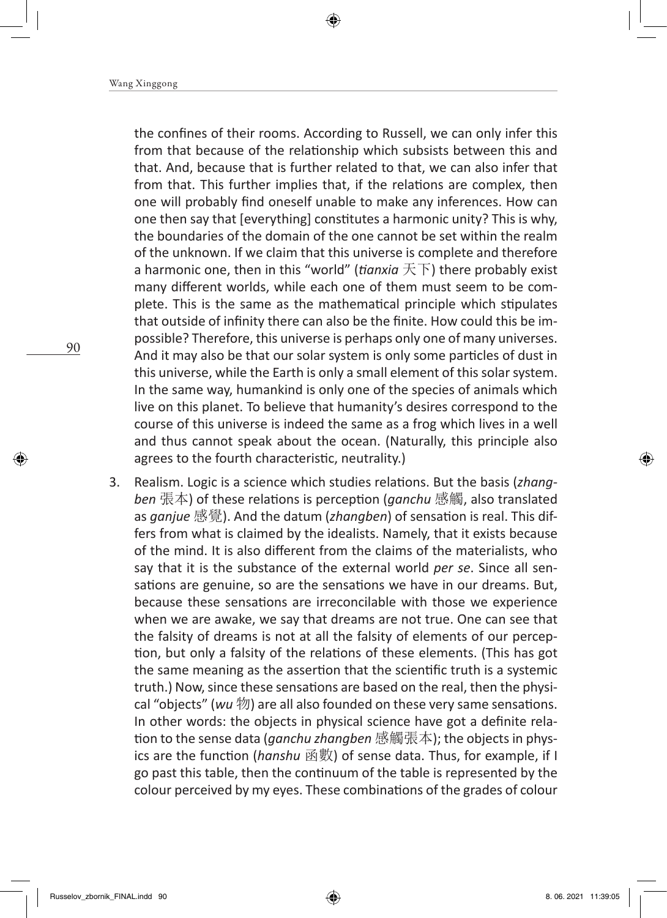the confines of their rooms. According to Russell, we can only infer this from that because of the relationship which subsists between this and that. And, because that is further related to that, we can also infer that from that. This further implies that, if the relations are complex, then one will probably find oneself unable to make any inferences. How can one then say that [everything] constitutes a harmonic unity? This is why, the boundaries of the domain of the one cannot be set within the realm of the unknown. If we claim that this universe is complete and therefore a harmonic one, then in this "world" (*tianxia* 天下) there probably exist many different worlds, while each one of them must seem to be complete. This is the same as the mathematical principle which stipulates that outside of infinity there can also be the finite. How could this be impossible? Therefore, this universe is perhaps only one of many universes. And it may also be that our solar system is only some particles of dust in this universe, while the Earth is only a small element of this solar system. In the same way, humankind is only one of the species of animals which live on this planet. To believe that humanity's desires correspond to the course of this universe is indeed the same as a frog which lives in a well and thus cannot speak about the ocean. (Naturally, this principle also agrees to the fourth characteristic, neutrality.)

3. Realism. Logic is a science which studies relations. But the basis (*zhangben* 張本) of these relations is perception (*ganchu* 感觸, also translated as *ganjue* 感覺). And the datum (*zhangben*) of sensation is real. This differs from what is claimed by the idealists. Namely, that it exists because of the mind. It is also different from the claims of the materialists, who say that it is the substance of the external world *per se*. Since all sensations are genuine, so are the sensations we have in our dreams. But, because these sensations are irreconcilable with those we experience when we are awake, we say that dreams are not true. One can see that the falsity of dreams is not at all the falsity of elements of our perception, but only a falsity of the relations of these elements. (This has got the same meaning as the assertion that the scientific truth is a systemic truth.) Now, since these sensations are based on the real, then the physical "objects" (*wu* 物) are all also founded on these very same sensations. In other words: the objects in physical science have got a definite relation to the sense data (*ganchu zhangben* 感觸張本); the objects in physics are the function (*hanshu* 函數) of sense data. Thus, for example, if I go past this table, then the continuum of the table is represented by the colour perceived by my eyes. These combinations of the grades of colour